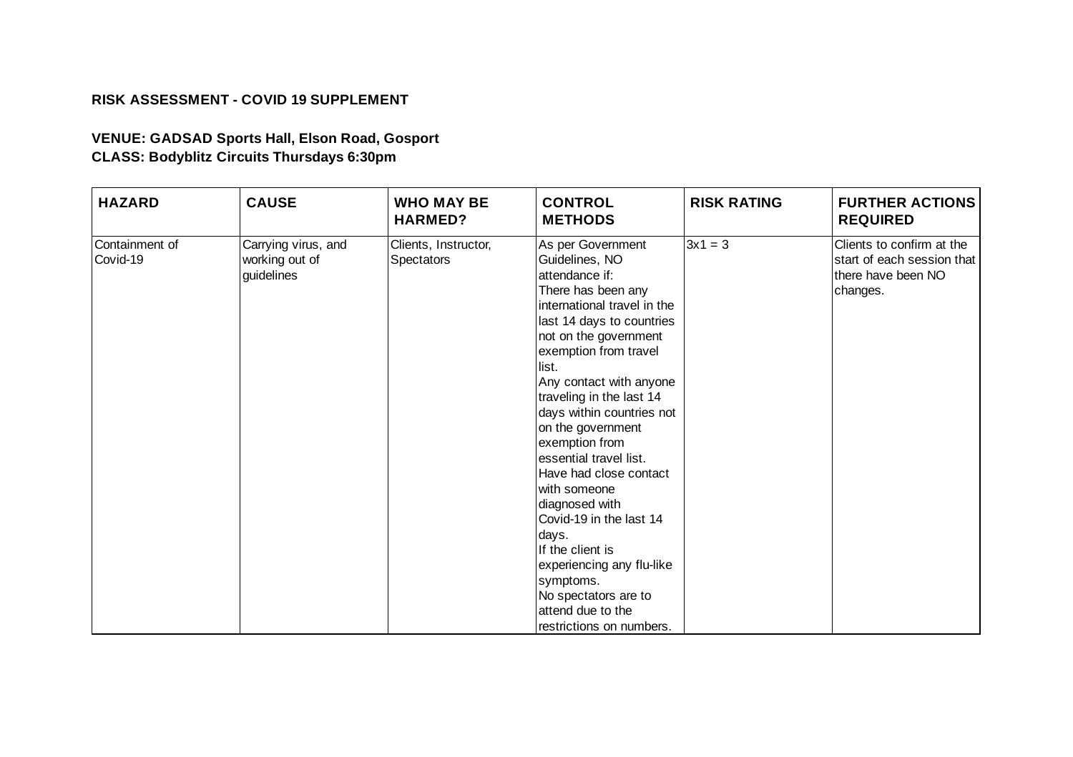## **RISK ASSESSMENT - COVID 19 SUPPLEMENT**

## **VENUE: GADSAD Sports Hall, Elson Road, Gosport CLASS: Bodyblitz Circuits Thursdays 6:30pm**

| <b>HAZARD</b>              | <b>CAUSE</b>                                        | <b>WHO MAY BE</b><br><b>HARMED?</b>       | <b>CONTROL</b><br><b>METHODS</b>                                                                                                                                                                                                                                                                                                                                                                                                                                                                                                                                                               | <b>RISK RATING</b> | <b>FURTHER ACTIONS</b><br><b>REQUIRED</b>                                                 |
|----------------------------|-----------------------------------------------------|-------------------------------------------|------------------------------------------------------------------------------------------------------------------------------------------------------------------------------------------------------------------------------------------------------------------------------------------------------------------------------------------------------------------------------------------------------------------------------------------------------------------------------------------------------------------------------------------------------------------------------------------------|--------------------|-------------------------------------------------------------------------------------------|
| Containment of<br>Covid-19 | Carrying virus, and<br>working out of<br>guidelines | Clients, Instructor,<br><b>Spectators</b> | As per Government<br>Guidelines, NO<br>attendance if:<br>There has been any<br>international travel in the<br>last 14 days to countries<br>not on the government<br>exemption from travel<br>list.<br>Any contact with anyone<br>traveling in the last 14<br>days within countries not<br>on the government<br>exemption from<br>essential travel list.<br>Have had close contact<br>with someone<br>diagnosed with<br>Covid-19 in the last 14<br>days.<br>If the client is<br>experiencing any flu-like<br>symptoms.<br>No spectators are to<br>attend due to the<br>restrictions on numbers. | $3x1 = 3$          | Clients to confirm at the<br>start of each session that<br>there have been NO<br>changes. |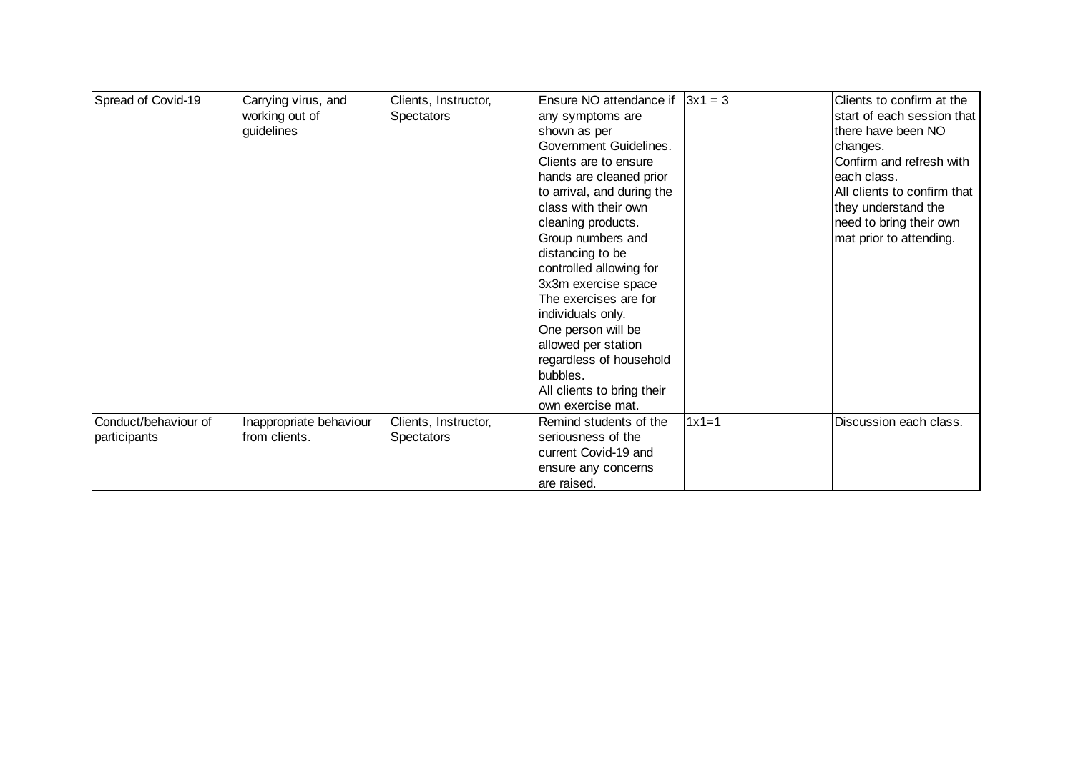| Spread of Covid-19   | Carrying virus, and     | Clients, Instructor, | Ensure NO attendance if    | $3x1 = 3$ | Clients to confirm at the   |
|----------------------|-------------------------|----------------------|----------------------------|-----------|-----------------------------|
|                      | working out of          | <b>Spectators</b>    | any symptoms are           |           | start of each session that  |
|                      | guidelines              |                      | shown as per               |           | there have been NO          |
|                      |                         |                      | Government Guidelines.     |           | changes.                    |
|                      |                         |                      | Clients are to ensure      |           | Confirm and refresh with    |
|                      |                         |                      | hands are cleaned prior    |           | each class.                 |
|                      |                         |                      | to arrival, and during the |           | All clients to confirm that |
|                      |                         |                      | class with their own       |           | they understand the         |
|                      |                         |                      | cleaning products.         |           | need to bring their own     |
|                      |                         |                      | Group numbers and          |           | mat prior to attending.     |
|                      |                         |                      | distancing to be           |           |                             |
|                      |                         |                      | controlled allowing for    |           |                             |
|                      |                         |                      | 3x3m exercise space        |           |                             |
|                      |                         |                      | The exercises are for      |           |                             |
|                      |                         |                      | individuals only.          |           |                             |
|                      |                         |                      | One person will be         |           |                             |
|                      |                         |                      | allowed per station        |           |                             |
|                      |                         |                      | regardless of household    |           |                             |
|                      |                         |                      | bubbles.                   |           |                             |
|                      |                         |                      | All clients to bring their |           |                             |
|                      |                         |                      | own exercise mat.          |           |                             |
| Conduct/behaviour of | Inappropriate behaviour | Clients, Instructor, | Remind students of the     | $1x1=1$   | Discussion each class.      |
| participants         | from clients.           | <b>Spectators</b>    | seriousness of the         |           |                             |
|                      |                         |                      | current Covid-19 and       |           |                             |
|                      |                         |                      | ensure any concerns        |           |                             |
|                      |                         |                      | are raised.                |           |                             |